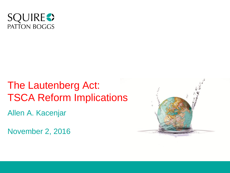

# The Lautenberg Act: TSCA Reform Implications

Allen A. Kacenjar

November 2, 2016

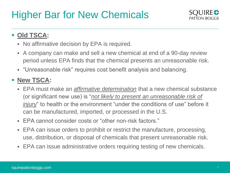

### **Old TSCA:**

- No affirmative decision by EPA is required.
- A company can make and sell a new chemical at end of a 90-day review period unless EPA finds that the chemical presents an unreasonable risk.
- "Unreasonable risk" requires cost benefit analysis and balancing.

- EPA must make an *affirmative determination* that a new chemical substance (or significant new use) is "*not likely to present an unreasonable risk of injury*" to health or the environment "under the conditions of use" before it can be manufactured, imported, or processed in the U.S.
- EPA cannot consider costs or "other non-risk factors."
- EPA can issue orders to prohibit or restrict the manufacture, processing, use, distribution, or disposal of chemicals that present unreasonable risk.
- EPA can issue administrative orders requiring testing of new chemicals.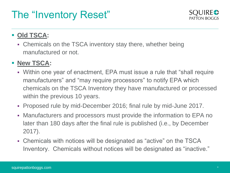# The "Inventory Reset"



### **Old TSCA:**

 Chemicals on the TSCA inventory stay there, whether being manufactured or not.

- Within one year of enactment, EPA must issue a rule that "shall require manufacturers" and "may require processors" to notify EPA which chemicals on the TSCA Inventory they have manufactured or processed within the previous 10 years.
- Proposed rule by mid-December 2016; final rule by mid-June 2017.
- Manufacturers and processors must provide the information to EPA no later than 180 days after the final rule is published (i.e., by December 2017).
- Chemicals with notices will be designated as "active" on the TSCA Inventory. Chemicals without notices will be designated as "inactive."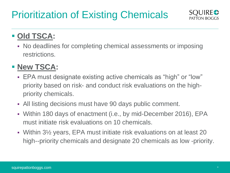# Prioritization of Existing Chemicals



## **- Old TSCA:**

 No deadlines for completing chemical assessments or imposing restrictions.

## **- New TSCA:**

- EPA must designate existing active chemicals as "high" or "low" priority based on risk- and conduct risk evaluations on the highpriority chemicals.
- All listing decisions must have 90 days public comment.
- Within 180 days of enactment (i.e., by mid-December 2016), EPA must initiate risk evaluations on 10 chemicals.
- Within 3½ years, EPA must initiate risk evaluations on at least 20 high--priority chemicals and designate 20 chemicals as low -priority.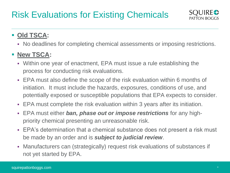

### **Old TSCA:**

No deadlines for completing chemical assessments or imposing restrictions.

- Within one year of enactment, EPA must issue a rule establishing the process for conducting risk evaluations.
- EPA must also define the scope of the risk evaluation within 6 months of initiation. It must include the hazards, exposures, conditions of use, and potentially exposed or susceptible populations that EPA expects to consider.
- EPA must complete the risk evaluation within 3 years after its initiation.
- EPA must either *ban, phase out or impose restrictions* for any highpriority chemical presenting an unreasonable risk.
- EPA's determination that a chemical substance does not present a risk must be made by an order and is *subject to judicial review*.
- Manufacturers can (strategically) request risk evaluations of substances if not yet started by EPA.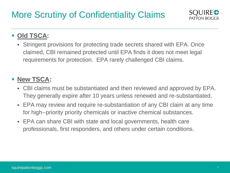

## **Old TSCA:**

 Stringent provisions for protecting trade secrets shared with EPA. Once claimed, CBI remained protected until EPA finds it does not meet legal requirements for protection. EPA rarely challenged CBI claims.

- CBI claims must be substantiated and then reviewed and approved by EPA. They generally expire after 10 years unless renewed and re-substantiated.
- EPA may review and require re-substantiation of any CBI claim at any time for high--priority priority chemicals or inactive chemical substances.
- EPA can share CBI with state and local governments, health care professionals, first responders, and others under certain conditions.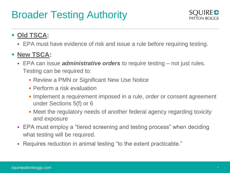# Broader Testing Authority



### **Old TSCA:**

EPA must have evidence of risk and issue a rule before requiring testing.

- EPA can issue *administrative orders* to require testing not just rules. Testing can be required to:
	- **Review a PMN or Significant New Use Notice**
	- **Perform a risk evaluation**
	- **Implement a requirement imposed in a rule, order or consent agreement** under Sections 5(f) or 6
	- Meet the regulatory needs of another federal agency regarding toxicity and exposure
- EPA must employ a "tiered screening and testing process" when deciding what testing will be required.
- Requires reduction in animal testing "to the extent practicable."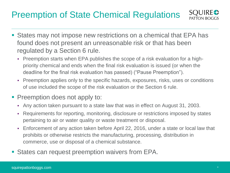## Preemption of State Chemical Regulations



- States may not impose new restrictions on a chemical that EPA has found does not present an unreasonable risk or that has been regulated by a Section 6 rule.
	- Preemption starts when EPA publishes the scope of a risk evaluation for a highpriority chemical and ends when the final risk evaluation is issued (or when the deadline for the final risk evaluation has passed) ("Pause Preemption").
	- Preemption applies only to the specific hazards, exposures, risks, uses or conditions of use included the scope of the risk evaluation or the Section 6 rule.
- **Preemption does not apply to:** 
	- Any action taken pursuant to a state law that was in effect on August 31, 2003.
	- Requirements for reporting, monitoring, disclosure or restrictions imposed by states pertaining to air or water quality or waste treatment or disposal.
	- Enforcement of any action taken before April 22, 2016, under a state or local law that prohibits or otherwise restricts the manufacturing, processing, distribution in commerce, use or disposal of a chemical substance.
- States can request preemption waivers from EPA.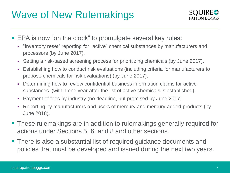# Wave of New Rulemakings



- **EPA is now "on the clock" to promulgate several key rules:** 
	- "Inventory reset" reporting for "active" chemical substances by manufacturers and processors (by June 2017).
	- Setting a risk-based screening process for prioritizing chemicals (by June 2017).
	- Establishing how to conduct risk evaluations (including criteria for manufacturers to propose chemicals for risk evaluations) (by June 2017).
	- Determining how to review confidential business information claims for active substances (within one year after the list of active chemicals is established).
	- Payment of fees by industry (no deadline, but promised by June 2017).
	- Reporting by manufacturers and users of mercury and mercury-added products (by June 2018).
- These rulemakings are in addition to rulemakings generally required for actions under Sections 5, 6, and 8 and other sections.
- There is also a substantial list of required guidance documents and policies that must be developed and issued during the next two years.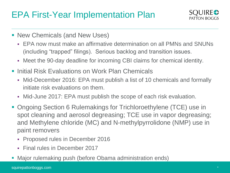## EPA First-Year Implementation Plan



- **New Chemicals (and New Uses)** 
	- EPA now must make an affirmative determination on all PMNs and SNUNs (including "trapped" filings). Serious backlog and transition issues.
	- Meet the 90-day deadline for incoming CBI claims for chemical identity.
- Initial Risk Evaluations on Work Plan Chemicals
	- Mid-December 2016: EPA must publish a list of 10 chemicals and formally initiate risk evaluations on them.
	- Mid-June 2017: EPA must publish the scope of each risk evaluation.
- Ongoing Section 6 Rulemakings for Trichloroethylene (TCE) use in spot cleaning and aerosol degreasing; TCE use in vapor degreasing; and Methylene chloride (MC) and N-methylpyrrolidone (NMP) use in paint removers
	- Proposed rules in December 2016
	- Final rules in December 2017
- Major rulemaking push (before Obama administration ends)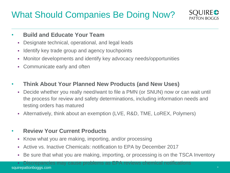## What Should Companies Be Doing Now?



#### • **Build and Educate Your Team**

- Designate technical, operational, and legal leads
- **I** Identify key trade group and agency touchpoints
- Monitor developments and identify key advocacy needs/opportunities
- Communicate early and often
- **Think About Your Planned New Products (and New Uses)**
	- Decide whether you really need/want to file a PMN (or SNUN) now or can wait until the process for review and safety determinations, including information needs and testing orders has matured
	- Alternatively, think about an exemption (LVE, R&D, TME, LoREX, Polymers)

#### • **Review Your Current Products**

- Know what you are making, importing, and/or processing
- Active vs. Inactive Chemicals: notification to EPA by December 2017
- Be sure that what you are making, importing, or processing is on the TSCA Inventory

squirepattonboggs.com \* Discrepancies may cause problems as EPA reviews chemical notifications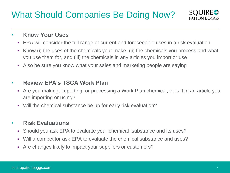## What Should Companies Be Doing Now?



#### • **Know Your Uses**

- EPA will consider the full range of current and foreseeable uses in a risk evaluation
- Know (i) the uses of the chemicals your make, (ii) the chemicals you process and what you use them for, and (iii) the chemicals in any articles you import or use
- Also be sure you know what your sales and marketing people are saying

#### • **Review EPA's TSCA Work Plan**

- Are you making, importing, or processing a Work Plan chemical, or is it in an article you are importing or using?
- Will the chemical substance be up for early risk evaluation?

#### • **Risk Evaluations**

- Should you ask EPA to evaluate your chemical substance and its uses?
- Will a competitor ask EPA to evaluate the chemical substance and uses?
- Are changes likely to impact your suppliers or customers?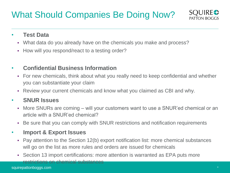## What Should Companies Be Doing Now?



#### • **Test Data**

- What data do you already have on the chemicals you make and process?
- How will you respond/react to a testing order?

### • **Confidential Business Information**

- For new chemicals, think about what you really need to keep confidential and whether you can substantiate your claim
- Review your current chemicals and know what you claimed as CBI and why.

#### • **SNUR Issues**

- More SNURs are coming will your customers want to use a SNUR'ed chemical or an article with a SNUR'ed chemical?
- Be sure that you can comply with SNUR restrictions and notification requirements

### • **Import & Export Issues**

- Pay attention to the Section 12(b) export notification list: more chemical substances will go on the list as more rules and orders are issued for chemicals
- Section 13 import certifications: more attention is warranted as EPA puts more restrictions on chemical substances